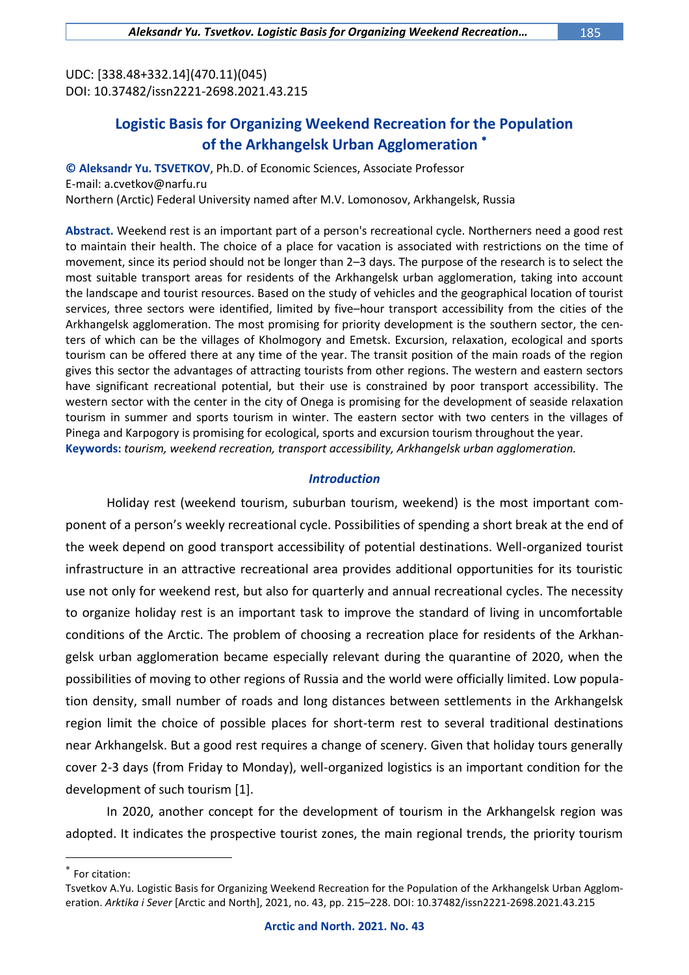UDC: [338.48+332.14](470.11)(045) DOI: 10.37482/issn2221-2698.2021.43.215

# **Logistic Basis for Organizing Weekend Recreation for the Population of the Arkhangelsk Urban Agglomeration**

**© Aleksandr Yu. TSVETKOV**, Ph.D. of Economic Sciences, Associate Professor E-mail: a.cvetkov@narfu.ru Northern (Arctic) Federal University named after M.V. Lomonosov, Arkhangelsk, Russia

**Abstract.** Weekend rest is an important part of a person's recreational cycle. Northerners need a good rest to maintain their health. The choice of a place for vacation is associated with restrictions on the time of movement, since its period should not be longer than 2–3 days. The purpose of the research is to select the most suitable transport areas for residents of the Arkhangelsk urban agglomeration, taking into account the landscape and tourist resources. Based on the study of vehicles and the geographical location of tourist services, three sectors were identified, limited by five–hour transport accessibility from the cities of the Arkhangelsk agglomeration. The most promising for priority development is the southern sector, the centers of which can be the villages of Kholmogory and Emetsk. Excursion, relaxation, ecological and sports tourism can be offered there at any time of the year. The transit position of the main roads of the region gives this sector the advantages of attracting tourists from other regions. The western and eastern sectors have significant recreational potential, but their use is constrained by poor transport accessibility. The western sector with the center in the city of Onega is promising for the development of seaside relaxation tourism in summer and sports tourism in winter. The eastern sector with two centers in the villages of Pinega and Karpogory is promising for ecological, sports and excursion tourism throughout the year. **Keywords:** *tourism, weekend recreation, transport accessibility, Arkhangelsk urban agglomeration.*

#### *Introduction*

Holiday rest (weekend tourism, suburban tourism, weekend) is the most important component of a person's weekly recreational cycle. Possibilities of spending a short break at the end of the week depend on good transport accessibility of potential destinations. Well-organized tourist infrastructure in an attractive recreational area provides additional opportunities for its touristic use not only for weekend rest, but also for quarterly and annual recreational cycles. The necessity to organize holiday rest is an important task to improve the standard of living in uncomfortable conditions of the Arctic. The problem of choosing a recreation place for residents of the Arkhangelsk urban agglomeration became especially relevant during the quarantine of 2020, when the possibilities of moving to other regions of Russia and the world were officially limited. Low population density, small number of roads and long distances between settlements in the Arkhangelsk region limit the choice of possible places for short-term rest to several traditional destinations near Arkhangelsk. But a good rest requires a change of scenery. Given that holiday tours generally cover 2-3 days (from Friday to Monday), well-organized logistics is an important condition for the development of such tourism [1].

In 2020, another concept for the development of tourism in the Arkhangelsk region was adopted. It indicates the prospective tourist zones, the main regional trends, the priority tourism

 $\overline{a}$ 

 $*$  For citation:

Tsvetkov A.Yu. Logistic Basis for Organizing Weekend Recreation for the Population of the Arkhangelsk Urban Agglomeration. *Arktika i Sever* [Arctic and North], 2021, no. 43, pp. 215–228. DOI: 10.37482/issn2221-2698.2021.43.215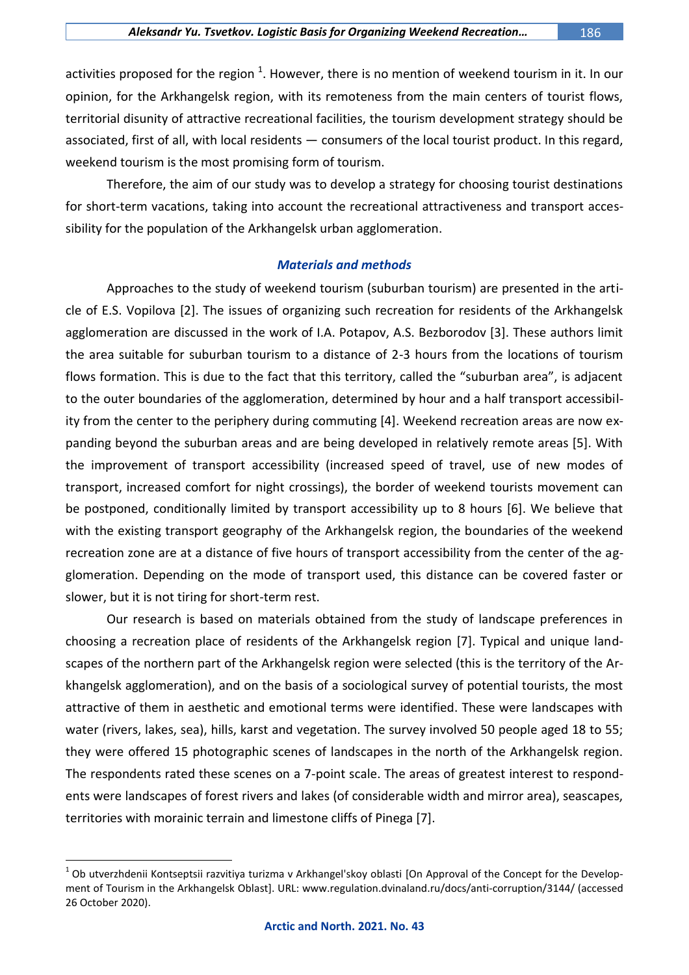activities proposed for the region  $^1$ . However, there is no mention of weekend tourism in it. In our opinion, for the Arkhangelsk region, with its remoteness from the main centers of tourist flows, territorial disunity of attractive recreational facilities, the tourism development strategy should be associated, first of all, with local residents — consumers of the local tourist product. In this regard, weekend tourism is the most promising form of tourism.

Therefore, the aim of our study was to develop a strategy for choosing tourist destinations for short-term vacations, taking into account the recreational attractiveness and transport accessibility for the population of the Arkhangelsk urban agglomeration.

#### *Materials and methods*

Approaches to the study of weekend tourism (suburban tourism) are presented in the article of E.S. Vopilova [2]. The issues of organizing such recreation for residents of the Arkhangelsk agglomeration are discussed in the work of I.A. Potapov, A.S. Bezborodov [3]. These authors limit the area suitable for suburban tourism to a distance of 2-3 hours from the locations of tourism flows formation. This is due to the fact that this territory, called the "suburban area", is adjacent to the outer boundaries of the agglomeration, determined by hour and a half transport accessibility from the center to the periphery during commuting [4]. Weekend recreation areas are now expanding beyond the suburban areas and are being developed in relatively remote areas [5]. With the improvement of transport accessibility (increased speed of travel, use of new modes of transport, increased comfort for night crossings), the border of weekend tourists movement can be postponed, conditionally limited by transport accessibility up to 8 hours [6]. We believe that with the existing transport geography of the Arkhangelsk region, the boundaries of the weekend recreation zone are at a distance of five hours of transport accessibility from the center of the agglomeration. Depending on the mode of transport used, this distance can be covered faster or slower, but it is not tiring for short-term rest.

Our research is based on materials obtained from the study of landscape preferences in choosing a recreation place of residents of the Arkhangelsk region [7]. Typical and unique landscapes of the northern part of the Arkhangelsk region were selected (this is the territory of the Arkhangelsk agglomeration), and on the basis of a sociological survey of potential tourists, the most attractive of them in aesthetic and emotional terms were identified. These were landscapes with water (rivers, lakes, sea), hills, karst and vegetation. The survey involved 50 people aged 18 to 55; they were offered 15 photographic scenes of landscapes in the north of the Arkhangelsk region. The respondents rated these scenes on a 7-point scale. The areas of greatest interest to respondents were landscapes of forest rivers and lakes (of considerable width and mirror area), seascapes, territories with morainic terrain and limestone cliffs of Pinega [7].

 $\overline{a}$ 

 $^1$  Ob utverzhdenii Kontseptsii razvitiya turizma v Arkhangel'skoy oblasti [On Approval of the Concept for the Development of Tourism in the Arkhangelsk Oblast]. URL: www.regulation.dvinaland.ru/docs/anti-corruption/3144/ (accessed 26 October 2020).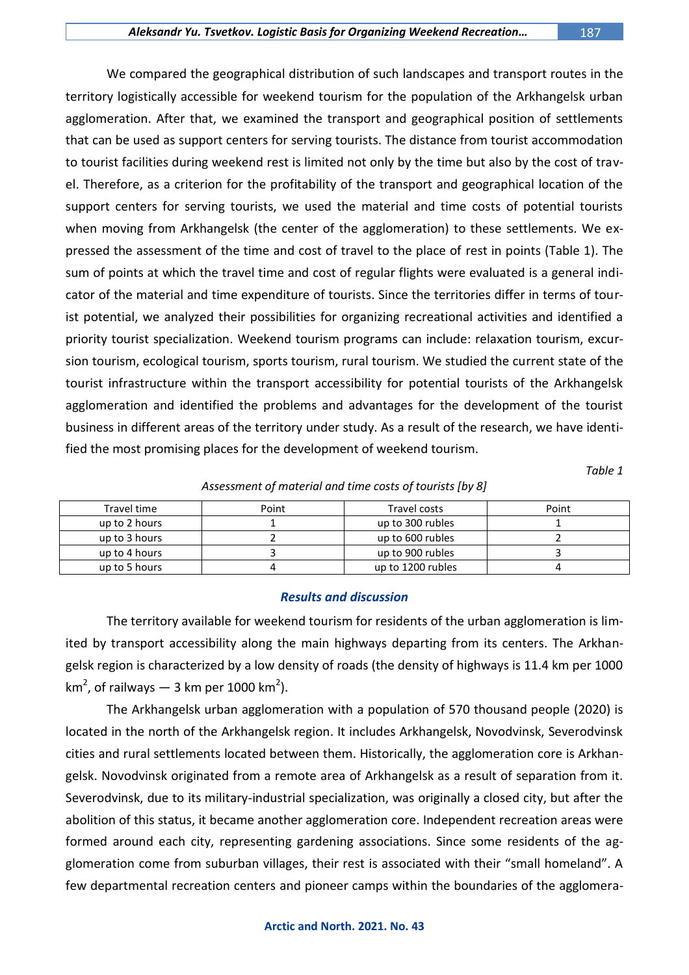We compared the geographical distribution of such landscapes and transport routes in the territory logistically accessible for weekend tourism for the population of the Arkhangelsk urban agglomeration. After that, we examined the transport and geographical position of settlements that can be used as support centers for serving tourists. The distance from tourist accommodation to tourist facilities during weekend rest is limited not only by the time but also by the cost of travel. Therefore, as a criterion for the profitability of the transport and geographical location of the support centers for serving tourists, we used the material and time costs of potential tourists when moving from Arkhangelsk (the center of the agglomeration) to these settlements. We expressed the assessment of the time and cost of travel to the place of rest in points (Table 1). The sum of points at which the travel time and cost of regular flights were evaluated is a general indicator of the material and time expenditure of tourists. Since the territories differ in terms of tourist potential, we analyzed their possibilities for organizing recreational activities and identified a priority tourist specialization. Weekend tourism programs can include: relaxation tourism, excursion tourism, ecological tourism, sports tourism, rural tourism. We studied the current state of the tourist infrastructure within the transport accessibility for potential tourists of the Arkhangelsk agglomeration and identified the problems and advantages for the development of the tourist business in different areas of the territory under study. As a result of the research, we have identified the most promising places for the development of weekend tourism.

*Table 1*

#### *Assessment of material and time costs of tourists [by 8]*

| Travel time   | Point | Travel costs      | Point |
|---------------|-------|-------------------|-------|
| up to 2 hours |       | up to 300 rubles  |       |
| up to 3 hours |       | up to 600 rubles  |       |
| up to 4 hours |       | up to 900 rubles  |       |
| up to 5 hours |       | up to 1200 rubles |       |

#### *Results and discussion*

The territory available for weekend tourism for residents of the urban agglomeration is limited by transport accessibility along the main highways departing from its centers. The Arkhangelsk region is characterized by a low density of roads (the density of highways is 11.4 km per 1000 km<sup>2</sup>, of railways — 3 km per 1000 km<sup>2</sup>).

The Arkhangelsk urban agglomeration with a population of 570 thousand people (2020) is located in the north of the Arkhangelsk region. It includes Arkhangelsk, Novodvinsk, Severodvinsk cities and rural settlements located between them. Historically, the agglomeration core is Arkhangelsk. Novodvinsk originated from a remote area of Arkhangelsk as a result of separation from it. Severodvinsk, due to its military-industrial specialization, was originally a closed city, but after the abolition of this status, it became another agglomeration core. Independent recreation areas were formed around each city, representing gardening associations. Since some residents of the agglomeration come from suburban villages, their rest is associated with their "small homeland". A few departmental recreation centers and pioneer camps within the boundaries of the agglomera-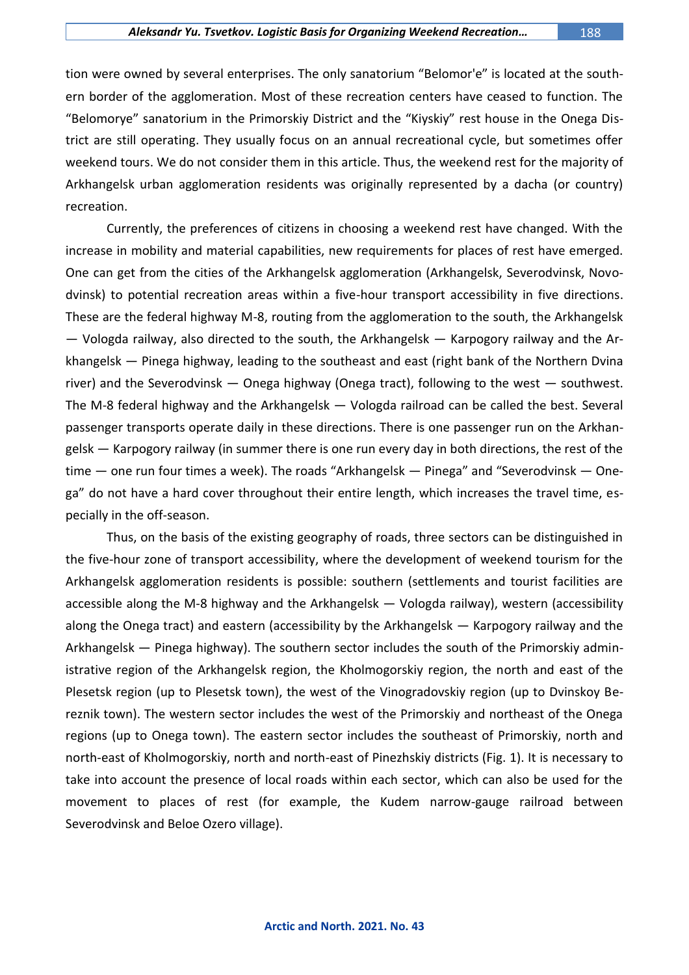tion were owned by several enterprises. The only sanatorium "Belomor'e" is located at the southern border of the agglomeration. Most of these recreation centers have ceased to function. The "Belomorye" sanatorium in the Primorskiy District and the "Kiyskiy" rest house in the Onega District are still operating. They usually focus on an annual recreational cycle, but sometimes offer weekend tours. We do not consider them in this article. Thus, the weekend rest for the majority of Arkhangelsk urban agglomeration residents was originally represented by a dacha (or country) recreation.

Currently, the preferences of citizens in choosing a weekend rest have changed. With the increase in mobility and material capabilities, new requirements for places of rest have emerged. One can get from the cities of the Arkhangelsk agglomeration (Arkhangelsk, Severodvinsk, Novodvinsk) to potential recreation areas within a five-hour transport accessibility in five directions. These are the federal highway M-8, routing from the agglomeration to the south, the Arkhangelsk — Vologda railway, also directed to the south, the Arkhangelsk — Karpogory railway and the Arkhangelsk — Pinega highway, leading to the southeast and east (right bank of the Northern Dvina river) and the Severodvinsk — Onega highway (Onega tract), following to the west — southwest. The M-8 federal highway and the Arkhangelsk — Vologda railroad can be called the best. Several passenger transports operate daily in these directions. There is one passenger run on the Arkhangelsk — Karpogory railway (in summer there is one run every day in both directions, the rest of the time — one run four times a week). The roads "Arkhangelsk — Pinega" and "Severodvinsk — Onega" do not have a hard cover throughout their entire length, which increases the travel time, especially in the off-season.

Thus, on the basis of the existing geography of roads, three sectors can be distinguished in the five-hour zone of transport accessibility, where the development of weekend tourism for the Arkhangelsk agglomeration residents is possible: southern (settlements and tourist facilities are accessible along the M-8 highway and the Arkhangelsk — Vologda railway), western (accessibility along the Onega tract) and eastern (accessibility by the Arkhangelsk — Karpogory railway and the Arkhangelsk — Pinega highway). The southern sector includes the south of the Primorskiy administrative region of the Arkhangelsk region, the Kholmogorskiy region, the north and east of the Plesetsk region (up to Plesetsk town), the west of the Vinogradovskiy region (up to Dvinskoy Bereznik town). The western sector includes the west of the Primorskiy and northeast of the Onega regions (up to Onega town). The eastern sector includes the southeast of Primorskiy, north and north-east of Kholmogorskiy, north and north-east of Pinezhskiy districts (Fig. 1). It is necessary to take into account the presence of local roads within each sector, which can also be used for the movement to places of rest (for example, the Kudem narrow-gauge railroad between Severodvinsk and Beloe Ozero village).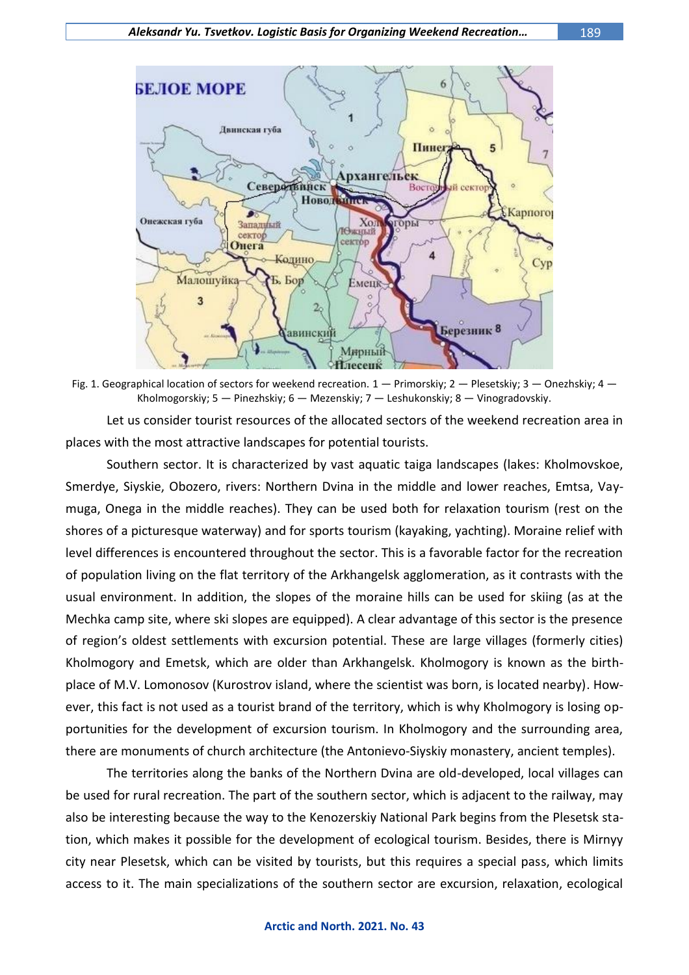

Fig. 1. Geographical location of sectors for weekend recreation.  $1 -$  Primorskiy:  $2 -$  Plesetskiy:  $3 -$  Onezhskiy:  $4 -$ Kholmogorskiy; 5 — Pinezhskiy; 6 — Mezenskiy; 7 — Leshukonskiy; 8 — Vinogradovskiy.

Let us consider tourist resources of the allocated sectors of the weekend recreation area in places with the most attractive landscapes for potential tourists.

Southern sector. It is characterized by vast aquatic taiga landscapes (lakes: Kholmovskoe, Smerdye, Siyskie, Obozero, rivers: Northern Dvina in the middle and lower reaches, Emtsa, Vaymuga, Onega in the middle reaches). They can be used both for relaxation tourism (rest on the shores of a picturesque waterway) and for sports tourism (kayaking, yachting). Moraine relief with level differences is encountered throughout the sector. This is a favorable factor for the recreation of population living on the flat territory of the Arkhangelsk agglomeration, as it contrasts with the usual environment. In addition, the slopes of the moraine hills can be used for skiing (as at the Mechka camp site, where ski slopes are equipped). A clear advantage of this sector is the presence of region's oldest settlements with excursion potential. These are large villages (formerly cities) Kholmogory and Emetsk, which are older than Arkhangelsk. Kholmogory is known as the birthplace of M.V. Lomonosov (Kurostrov island, where the scientist was born, is located nearby). However, this fact is not used as a tourist brand of the territory, which is why Kholmogory is losing opportunities for the development of excursion tourism. In Kholmogory and the surrounding area, there are monuments of church architecture (the Antonievo-Siyskiy monastery, ancient temples).

The territories along the banks of the Northern Dvina are old-developed, local villages can be used for rural recreation. The part of the southern sector, which is adjacent to the railway, may also be interesting because the way to the Kenozerskiy National Park begins from the Plesetsk station, which makes it possible for the development of ecological tourism. Besides, there is Mirnyy city near Plesetsk, which can be visited by tourists, but this requires a special pass, which limits access to it. The main specializations of the southern sector are excursion, relaxation, ecological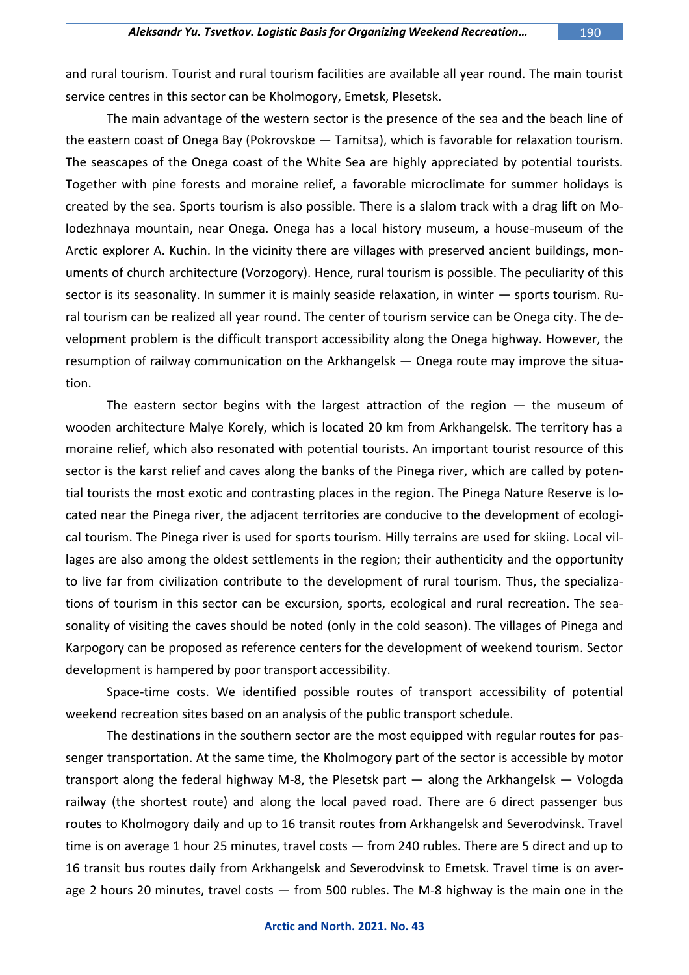and rural tourism. Tourist and rural tourism facilities are available all year round. The main tourist service centres in this sector can be Kholmogory, Emetsk, Plesetsk.

The main advantage of the western sector is the presence of the sea and the beach line of the eastern coast of Onega Bay (Pokrovskoe — Tamitsa), which is favorable for relaxation tourism. The seascapes of the Onega coast of the White Sea are highly appreciated by potential tourists. Together with pine forests and moraine relief, a favorable microclimate for summer holidays is created by the sea. Sports tourism is also possible. There is a slalom track with a drag lift on Molodezhnaya mountain, near Onega. Onega has a local history museum, a house-museum of the Arctic explorer A. Kuchin. In the vicinity there are villages with preserved ancient buildings, monuments of church architecture (Vorzogory). Hence, rural tourism is possible. The peculiarity of this sector is its seasonality. In summer it is mainly seaside relaxation, in winter — sports tourism. Rural tourism can be realized all year round. The center of tourism service can be Onega city. The development problem is the difficult transport accessibility along the Onega highway. However, the resumption of railway communication on the Arkhangelsk — Onega route may improve the situation.

The eastern sector begins with the largest attraction of the region  $-$  the museum of wooden architecture Malye Korely, which is located 20 km from Arkhangelsk. The territory has a moraine relief, which also resonated with potential tourists. An important tourist resource of this sector is the karst relief and caves along the banks of the Pinega river, which are called by potential tourists the most exotic and contrasting places in the region. The Pinega Nature Reserve is located near the Pinega river, the adjacent territories are conducive to the development of ecological tourism. The Pinega river is used for sports tourism. Hilly terrains are used for skiing. Local villages are also among the oldest settlements in the region; their authenticity and the opportunity to live far from civilization contribute to the development of rural tourism. Thus, the specializations of tourism in this sector can be excursion, sports, ecological and rural recreation. The seasonality of visiting the caves should be noted (only in the cold season). The villages of Pinega and Karpogory can be proposed as reference centers for the development of weekend tourism. Sector development is hampered by poor transport accessibility.

Space-time costs. We identified possible routes of transport accessibility of potential weekend recreation sites based on an analysis of the public transport schedule.

The destinations in the southern sector are the most equipped with regular routes for passenger transportation. At the same time, the Kholmogory part of the sector is accessible by motor transport along the federal highway M-8, the Plesetsk part — along the Arkhangelsk — Vologda railway (the shortest route) and along the local paved road. There are 6 direct passenger bus routes to Kholmogory daily and up to 16 transit routes from Arkhangelsk and Severodvinsk. Travel time is on average 1 hour 25 minutes, travel costs — from 240 rubles. There are 5 direct and up to 16 transit bus routes daily from Arkhangelsk and Severodvinsk to Emetsk. Travel time is on average 2 hours 20 minutes, travel costs — from 500 rubles. The M-8 highway is the main one in the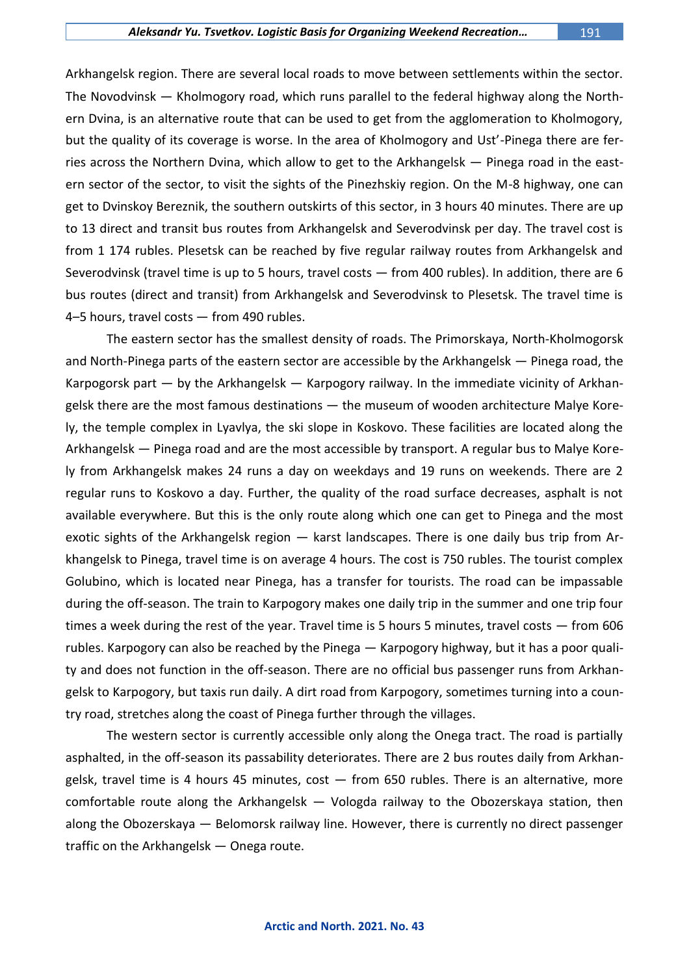#### *Aleksandr Yu. Tsvetkov. Logistic Basis for Organizing Weekend Recreation…* 191

Arkhangelsk region. There are several local roads to move between settlements within the sector. The Novodvinsk — Kholmogory road, which runs parallel to the federal highway along the Northern Dvina, is an alternative route that can be used to get from the agglomeration to Kholmogory, but the quality of its coverage is worse. In the area of Kholmogory and Ust'-Pinega there are ferries across the Northern Dvina, which allow to get to the Arkhangelsk — Pinega road in the eastern sector of the sector, to visit the sights of the Pinezhskiy region. On the M-8 highway, one can get to Dvinskoy Bereznik, the southern outskirts of this sector, in 3 hours 40 minutes. There are up to 13 direct and transit bus routes from Arkhangelsk and Severodvinsk per day. The travel cost is from 1 174 rubles. Plesetsk can be reached by five regular railway routes from Arkhangelsk and Severodvinsk (travel time is up to 5 hours, travel costs — from 400 rubles). In addition, there are 6 bus routes (direct and transit) from Arkhangelsk and Severodvinsk to Plesetsk. The travel time is 4–5 hours, travel costs — from 490 rubles.

The eastern sector has the smallest density of roads. The Primorskaya, North-Kholmogorsk and North-Pinega parts of the eastern sector are accessible by the Arkhangelsk — Pinega road, the Karpogorsk part — by the Arkhangelsk — Karpogory railway. In the immediate vicinity of Arkhangelsk there are the most famous destinations — the museum of wooden architecture Malye Korely, the temple complex in Lyavlya, the ski slope in Koskovo. These facilities are located along the Arkhangelsk — Pinega road and are the most accessible by transport. A regular bus to Malye Korely from Arkhangelsk makes 24 runs a day on weekdays and 19 runs on weekends. There are 2 regular runs to Koskovo a day. Further, the quality of the road surface decreases, asphalt is not available everywhere. But this is the only route along which one can get to Pinega and the most exotic sights of the Arkhangelsk region — karst landscapes. There is one daily bus trip from Arkhangelsk to Pinega, travel time is on average 4 hours. The cost is 750 rubles. The tourist complex Golubino, which is located near Pinega, has a transfer for tourists. The road can be impassable during the off-season. The train to Karpogory makes one daily trip in the summer and one trip four times a week during the rest of the year. Travel time is 5 hours 5 minutes, travel costs — from 606 rubles. Karpogory can also be reached by the Pinega — Karpogory highway, but it has a poor quality and does not function in the off-season. There are no official bus passenger runs from Arkhangelsk to Karpogory, but taxis run daily. A dirt road from Karpogory, sometimes turning into a country road, stretches along the coast of Pinega further through the villages.

The western sector is currently accessible only along the Onega tract. The road is partially asphalted, in the off-season its passability deteriorates. There are 2 bus routes daily from Arkhangelsk, travel time is 4 hours 45 minutes,  $cost - from 650$  rubles. There is an alternative, more comfortable route along the Arkhangelsk — Vologda railway to the Obozerskaya station, then along the Obozerskaya — Belomorsk railway line. However, there is currently no direct passenger traffic on the Arkhangelsk — Onega route.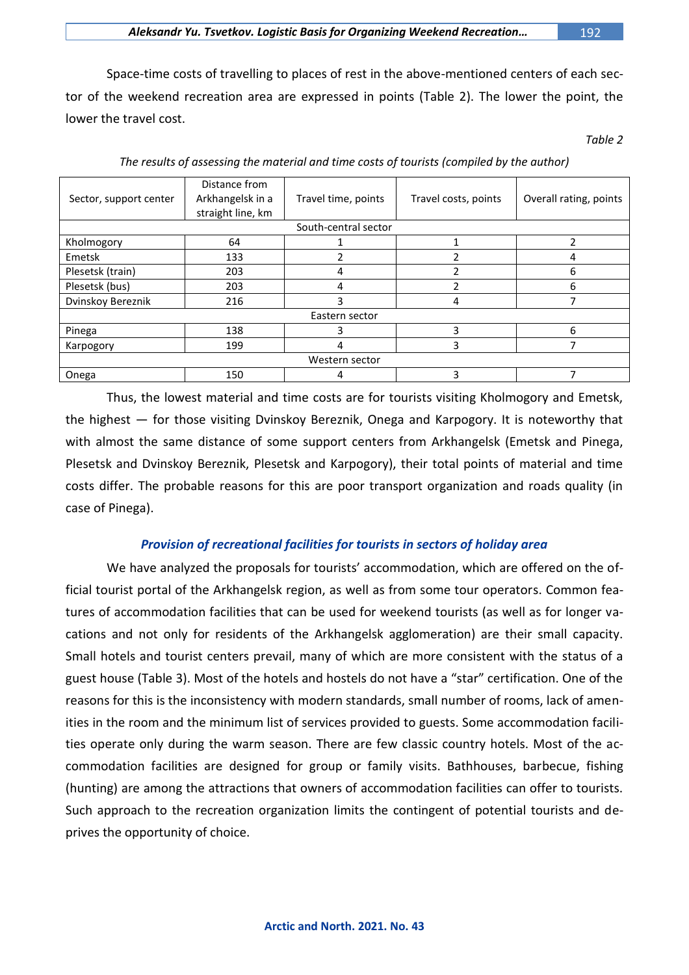*Aleksandr Yu. Tsvetkov. Logistic Basis for Organizing Weekend Recreation…* 192

Space-time costs of travelling to places of rest in the above-mentioned centers of each sector of the weekend recreation area are expressed in points (Table 2). The lower the point, the lower the travel cost.

*Table 2* 

| Sector, support center | Distance from<br>Arkhangelsk in a<br>straight line, km | Travel time, points | Travel costs, points | Overall rating, points |  |  |  |
|------------------------|--------------------------------------------------------|---------------------|----------------------|------------------------|--|--|--|
| South-central sector   |                                                        |                     |                      |                        |  |  |  |
| Kholmogory             | 64                                                     |                     |                      |                        |  |  |  |
| Emetsk                 | 133                                                    |                     |                      |                        |  |  |  |
| Plesetsk (train)       | 203                                                    | 4                   |                      | 6                      |  |  |  |
| Plesetsk (bus)         | 203                                                    | 4                   | ำ                    | 6                      |  |  |  |
| Dvinskoy Bereznik      | 216                                                    |                     | 4                    |                        |  |  |  |
| Eastern sector         |                                                        |                     |                      |                        |  |  |  |
| Pinega                 | 138                                                    |                     | 3                    | 6                      |  |  |  |
| Karpogory              | 199                                                    | 4                   | 3                    |                        |  |  |  |
| Western sector         |                                                        |                     |                      |                        |  |  |  |
| Onega                  | 150                                                    |                     | 3                    |                        |  |  |  |

*The results of assessing the material and time costs of tourists (compiled by the author)*

Thus, the lowest material and time costs are for tourists visiting Kholmogory and Emetsk, the highest — for those visiting Dvinskoy Bereznik, Onega and Karpogory. It is noteworthy that with almost the same distance of some support centers from Arkhangelsk (Emetsk and Pinega, Plesetsk and Dvinskoy Bereznik, Plesetsk and Karpogory), their total points of material and time costs differ. The probable reasons for this are poor transport organization and roads quality (in case of Pinega).

## *Provision of recreational facilities for tourists in sectors of holiday area*

We have analyzed the proposals for tourists' accommodation, which are offered on the official tourist portal of the Arkhangelsk region, as well as from some tour operators. Common features of accommodation facilities that can be used for weekend tourists (as well as for longer vacations and not only for residents of the Arkhangelsk agglomeration) are their small capacity. Small hotels and tourist centers prevail, many of which are more consistent with the status of a guest house (Table 3). Most of the hotels and hostels do not have a "star" certification. One of the reasons for this is the inconsistency with modern standards, small number of rooms, lack of amenities in the room and the minimum list of services provided to guests. Some accommodation facilities operate only during the warm season. There are few classic country hotels. Most of the accommodation facilities are designed for group or family visits. Bathhouses, barbecue, fishing (hunting) are among the attractions that owners of accommodation facilities can offer to tourists. Such approach to the recreation organization limits the contingent of potential tourists and deprives the opportunity of choice.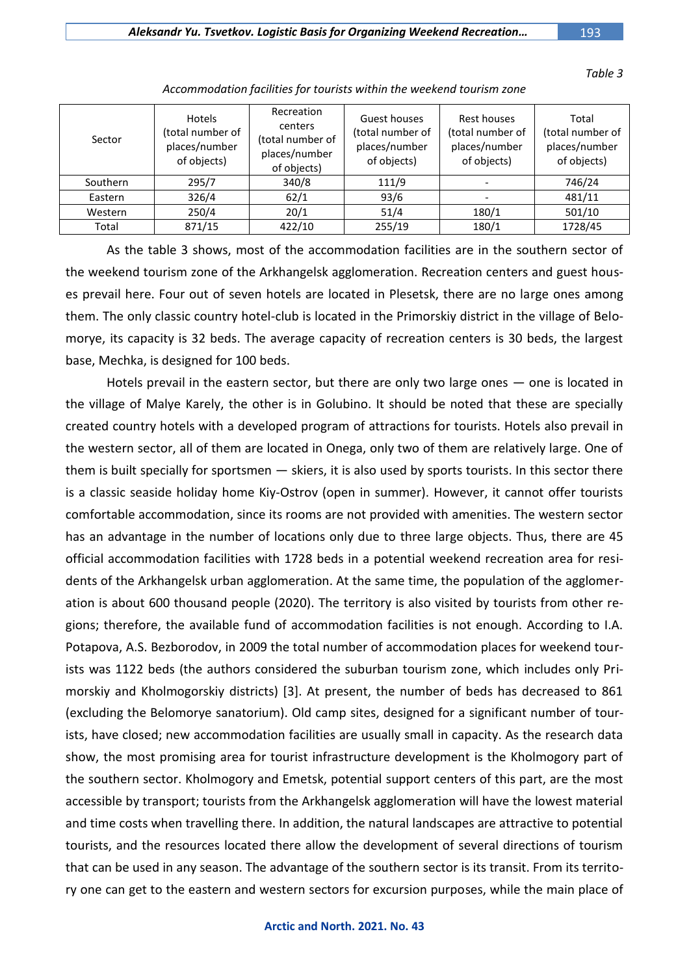*Table 3* 

| Sector   | <b>Hotels</b><br>(total number of<br>places/number<br>of objects) | Recreation<br>centers<br>(total number of<br>places/number<br>of objects) | Guest houses<br>(total number of<br>places/number<br>of objects) | Rest houses<br>(total number of<br>places/number<br>of objects) | Total<br>(total number of<br>places/number<br>of objects) |
|----------|-------------------------------------------------------------------|---------------------------------------------------------------------------|------------------------------------------------------------------|-----------------------------------------------------------------|-----------------------------------------------------------|
| Southern | 295/7                                                             | 340/8                                                                     | 111/9                                                            |                                                                 | 746/24                                                    |
| Eastern  | 326/4                                                             | 62/1                                                                      | 93/6                                                             |                                                                 | 481/11                                                    |
| Western  | 250/4                                                             | 20/1                                                                      | 51/4                                                             | 180/1                                                           | 501/10                                                    |
| Total    | 871/15                                                            | 422/10                                                                    | 255/19                                                           | 180/1                                                           | 1728/45                                                   |

*Accommodation facilities for tourists within the weekend tourism zone*

As the table 3 shows, most of the accommodation facilities are in the southern sector of the weekend tourism zone of the Arkhangelsk agglomeration. Recreation centers and guest houses prevail here. Four out of seven hotels are located in Plesetsk, there are no large ones among them. The only classic country hotel-club is located in the Primorskiy district in the village of Belomorye, its capacity is 32 beds. The average capacity of recreation centers is 30 beds, the largest base, Mechka, is designed for 100 beds.

Hotels prevail in the eastern sector, but there are only two large ones — one is located in the village of Malye Karely, the other is in Golubino. It should be noted that these are specially created country hotels with a developed program of attractions for tourists. Hotels also prevail in the western sector, all of them are located in Onega, only two of them are relatively large. One of them is built specially for sportsmen — skiers, it is also used by sports tourists. In this sector there is a classic seaside holiday home Kiy-Ostrov (open in summer). However, it cannot offer tourists comfortable accommodation, since its rooms are not provided with amenities. The western sector has an advantage in the number of locations only due to three large objects. Thus, there are 45 official accommodation facilities with 1728 beds in a potential weekend recreation area for residents of the Arkhangelsk urban agglomeration. At the same time, the population of the agglomeration is about 600 thousand people (2020). The territory is also visited by tourists from other regions; therefore, the available fund of accommodation facilities is not enough. According to I.A. Potapova, A.S. Bezborodov, in 2009 the total number of accommodation places for weekend tourists was 1122 beds (the authors considered the suburban tourism zone, which includes only Primorskiy and Kholmogorskiy districts) [3]. At present, the number of beds has decreased to 861 (excluding the Belomorye sanatorium). Old camp sites, designed for a significant number of tourists, have closed; new accommodation facilities are usually small in capacity. As the research data show, the most promising area for tourist infrastructure development is the Kholmogory part of the southern sector. Kholmogory and Emetsk, potential support centers of this part, are the most accessible by transport; tourists from the Arkhangelsk agglomeration will have the lowest material and time costs when travelling there. In addition, the natural landscapes are attractive to potential tourists, and the resources located there allow the development of several directions of tourism that can be used in any season. The advantage of the southern sector is its transit. From its territory one can get to the eastern and western sectors for excursion purposes, while the main place of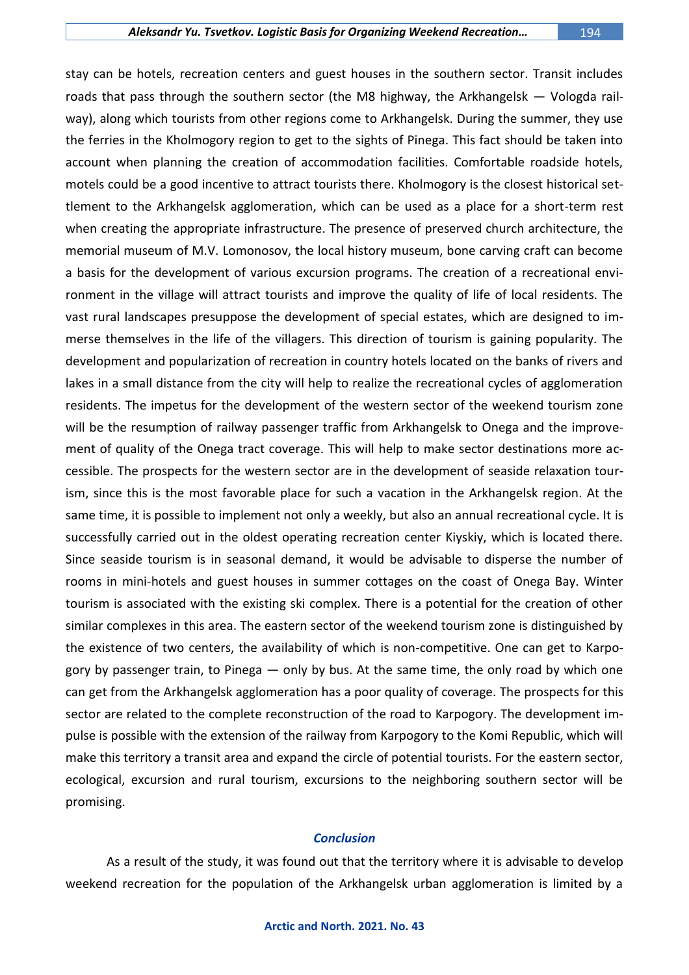stay can be hotels, recreation centers and guest houses in the southern sector. Transit includes roads that pass through the southern sector (the M8 highway, the Arkhangelsk — Vologda railway), along which tourists from other regions come to Arkhangelsk. During the summer, they use the ferries in the Kholmogory region to get to the sights of Pinega. This fact should be taken into account when planning the creation of accommodation facilities. Comfortable roadside hotels, motels could be a good incentive to attract tourists there. Kholmogory is the closest historical settlement to the Arkhangelsk agglomeration, which can be used as a place for a short-term rest when creating the appropriate infrastructure. The presence of preserved church architecture, the memorial museum of M.V. Lomonosov, the local history museum, bone carving craft can become a basis for the development of various excursion programs. The creation of a recreational environment in the village will attract tourists and improve the quality of life of local residents. The vast rural landscapes presuppose the development of special estates, which are designed to immerse themselves in the life of the villagers. This direction of tourism is gaining popularity. The development and popularization of recreation in country hotels located on the banks of rivers and lakes in a small distance from the city will help to realize the recreational cycles of agglomeration residents. The impetus for the development of the western sector of the weekend tourism zone will be the resumption of railway passenger traffic from Arkhangelsk to Onega and the improvement of quality of the Onega tract coverage. This will help to make sector destinations more accessible. The prospects for the western sector are in the development of seaside relaxation tourism, since this is the most favorable place for such a vacation in the Arkhangelsk region. At the same time, it is possible to implement not only a weekly, but also an annual recreational cycle. It is successfully carried out in the oldest operating recreation center Kiyskiy, which is located there. Since seaside tourism is in seasonal demand, it would be advisable to disperse the number of rooms in mini-hotels and guest houses in summer cottages on the coast of Onega Bay. Winter tourism is associated with the existing ski complex. There is a potential for the creation of other similar complexes in this area. The eastern sector of the weekend tourism zone is distinguished by the existence of two centers, the availability of which is non-competitive. One can get to Karpogory by passenger train, to Pinega — only by bus. At the same time, the only road by which one can get from the Arkhangelsk agglomeration has a poor quality of coverage. The prospects for this sector are related to the complete reconstruction of the road to Karpogory. The development impulse is possible with the extension of the railway from Karpogory to the Komi Republic, which will make this territory a transit area and expand the circle of potential tourists. For the eastern sector, ecological, excursion and rural tourism, excursions to the neighboring southern sector will be promising.

#### *Conclusion*

As a result of the study, it was found out that the territory where it is advisable to develop weekend recreation for the population of the Arkhangelsk urban agglomeration is limited by a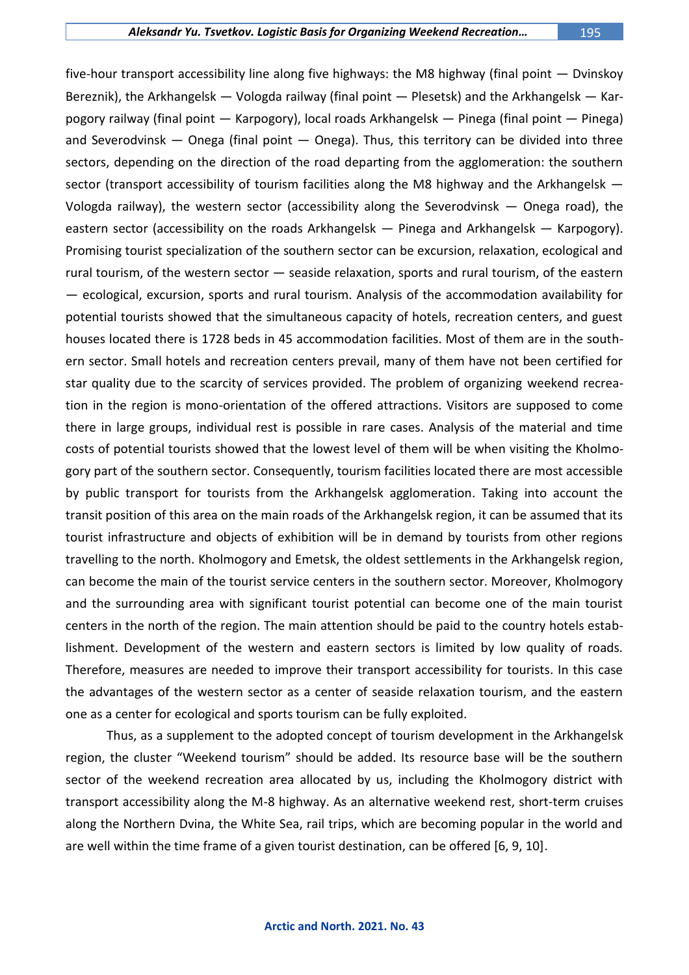five-hour transport accessibility line along five highways: the M8 highway (final point — Dvinskoy Bereznik), the Arkhangelsk — Vologda railway (final point — Plesetsk) and the Arkhangelsk — Karpogory railway (final point — Karpogory), local roads Arkhangelsk — Pinega (final point — Pinega) and Severodvinsk  $-$  Onega (final point  $-$  Onega). Thus, this territory can be divided into three sectors, depending on the direction of the road departing from the agglomeration: the southern sector (transport accessibility of tourism facilities along the M8 highway and the Arkhangelsk — Vologda railway), the western sector (accessibility along the Severodvinsk — Onega road), the eastern sector (accessibility on the roads Arkhangelsk — Pinega and Arkhangelsk — Karpogory). Promising tourist specialization of the southern sector can be excursion, relaxation, ecological and rural tourism, of the western sector — seaside relaxation, sports and rural tourism, of the eastern — ecological, excursion, sports and rural tourism. Analysis of the accommodation availability for potential tourists showed that the simultaneous capacity of hotels, recreation centers, and guest houses located there is 1728 beds in 45 accommodation facilities. Most of them are in the southern sector. Small hotels and recreation centers prevail, many of them have not been certified for star quality due to the scarcity of services provided. The problem of organizing weekend recreation in the region is mono-orientation of the offered attractions. Visitors are supposed to come there in large groups, individual rest is possible in rare cases. Analysis of the material and time costs of potential tourists showed that the lowest level of them will be when visiting the Kholmogory part of the southern sector. Consequently, tourism facilities located there are most accessible by public transport for tourists from the Arkhangelsk agglomeration. Taking into account the transit position of this area on the main roads of the Arkhangelsk region, it can be assumed that its tourist infrastructure and objects of exhibition will be in demand by tourists from other regions travelling to the north. Kholmogory and Emetsk, the oldest settlements in the Arkhangelsk region, can become the main of the tourist service centers in the southern sector. Moreover, Kholmogory and the surrounding area with significant tourist potential can become one of the main tourist centers in the north of the region. The main attention should be paid to the country hotels establishment. Development of the western and eastern sectors is limited by low quality of roads. Therefore, measures are needed to improve their transport accessibility for tourists. In this case the advantages of the western sector as a center of seaside relaxation tourism, and the eastern one as a center for ecological and sports tourism can be fully exploited.

Thus, as a supplement to the adopted concept of tourism development in the Arkhangelsk region, the cluster "Weekend tourism" should be added. Its resource base will be the southern sector of the weekend recreation area allocated by us, including the Kholmogory district with transport accessibility along the M-8 highway. As an alternative weekend rest, short-term cruises along the Northern Dvina, the White Sea, rail trips, which are becoming popular in the world and are well within the time frame of a given tourist destination, can be offered [6, 9, 10].